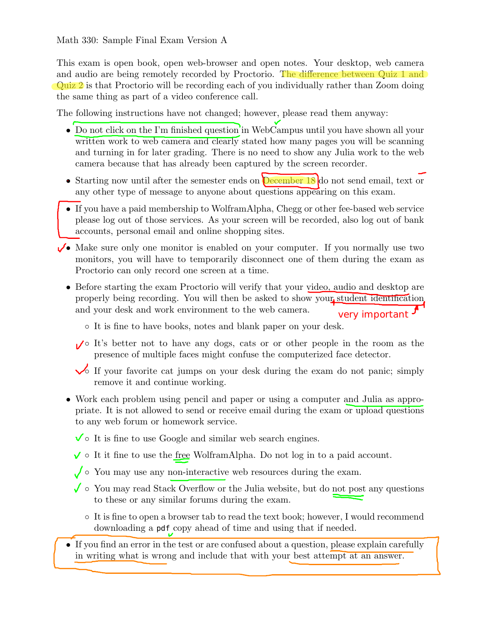This exam is open book, open web-browser and open notes. Your desktop, web camera and audio are being remotely recorded by Proctorio. The difference between Quiz 1 and Quiz 2 is that Proctorio will be recording each of you individually rather than Zoom doing the same thing as part of a video conference call.

The following instructions have not changed; however, please read them anyway:

- Do not click on the I'm finished question in WebCampus until you have shown all your written work to web camera and clearly stated how many pages you will be scanning and turning in for later grading. There is no need to show any Julia work to the web camera because that has already been captured by the screen recorder.
- Starting now until after the semester ends on **December 18** do not send email, text or any other type of message to anyone about questions appearing on this exam.
- If you have a paid membership to WolframAlpha, Chegg or other fee-based web service please log out of those services. As your screen will be recorded, also log out of bank accounts, personal email and online shopping sites.
- $\sqrt{\bullet}$  Make sure only one monitor is enabled on your computer. If you normally use two monitors, you will have to temporarily disconnect one of them during the exam as Proctorio can only record one screen at a time.
	- Before starting the exam Proctorio will verify that your video, audio and desktop are properly being recording. You will then be asked to show your student identification and your desk and work environment to the web camera. very important
		- It is fine to have books, notes and blank paper on your desk.
		- ● It's better not to have any dogs, cats or or other people in the room as the presence of multiple faces might confuse the computerized face detector.
		- $\sqrt{\ }$  If your favorite cat jumps on your desk during the exam do not panic; simply remove it and continue working.
	- Work each problem using pencil and paper or using a computer and Julia as appropriate. It is not allowed to send or receive email during the exam or upload questions to any web forum or homework service.
		- $\checkmark$  o It is fine to use Google and similar web search engines.
		- $\checkmark$  o It it fine to use the free WolframAlpha. Do not log in to a paid account.
		- $\sqrt{\ }$   $\circ$  You may use any non-interactive web resources during the exam.
		- $\checkmark$  o You may read Stack Overflow or the Julia website, but do not post any questions to these or any similar forums during the exam.
			- It is fine to open a browser tab to read the text book; however, I would recommend downloading a pdf copy ahead of time and using that if needed.
	- If you find an error in the test or are confused about a question, please explain carefully in writing what is wrong and include that with your best attempt at an answer.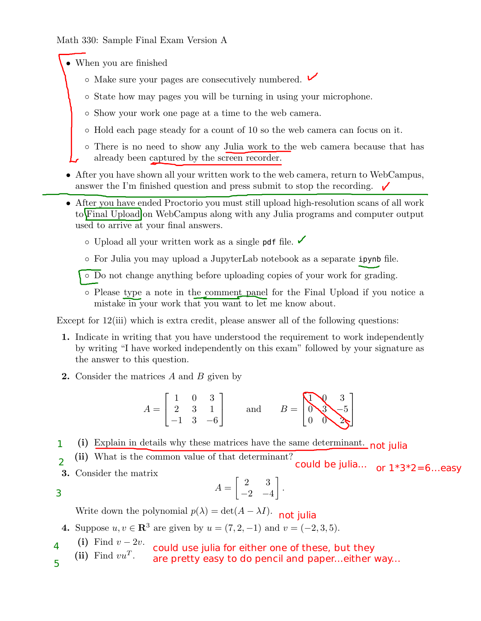• When you are finished

- $\circ$  Make sure your pages are consecutively numbered.  $\vee$
- State how may pages you will be turning in using your microphone.
- Show your work one page at a time to the web camera.
- Hold each page steady for a count of 10 so the web camera can focus on it.
- There is no need to show any Julia work to the web camera because that has already been captured by the screen recorder.
- After you have shown all your written work to the web camera, return to WebCampus, answer the I'm finished question and press submit to stop the recording.
- After you have ended Proctorio you must still upload high-resolution scans of all work to Final Upload on WebCampus along with any Julia programs and computer output used to arrive at your final answers.
	- $\circ$  Upload all your written work as a single pdf file.
	- For Julia you may upload a JupyterLab notebook as a separate ipynb file.
	- Do not change anything before uploading copies of your work for grading.
	- Please type a note in the comment panel for the Final Upload if you notice a mistake in your work that you want to let me know about.

Except for 12(iii) which is extra credit, please answer all of the following questions:

- 1. Indicate in writing that you have understood the requirement to work independently by writing "I have worked independently on this exam" followed by your signature as the answer to this question.
- 2. Consider the matrices A and B given by

$$
A = \begin{bmatrix} 1 & 0 & 3 \\ 2 & 3 & 1 \\ -1 & 3 & -6 \end{bmatrix} \text{ and } B = \begin{bmatrix} 1 & 3 \\ 0 & 3 \\ 0 & 0 \end{bmatrix}
$$

- (i) Explain in details why these matrices have the same determinant. not julia 1
- (ii) What is the common value of that determinant?  $\overline{2}$ could be julia...  $\int_{0}^{\frac{\pi}{3}} 1^*3^*2 = 6$ ...easy
- 3. Consider the matrix

3

$$
A = \begin{bmatrix} 2 & 3 \\ -2 & -4 \end{bmatrix}
$$

.

Write down the polynomial  $p(\lambda) = \det(A - \lambda I)$ . not julia

**4.** Suppose 
$$
u, v \in \mathbb{R}^3
$$
 are given by  $u = (7, 2, -1)$  and  $v = (-2, 3, 5)$ .

- (i) Find  $v 2v$ . 4 could use julia for either one of these, but they
- (ii) Find  $vu^T$ . 5 are pretty easy to do pencil and paper...either way...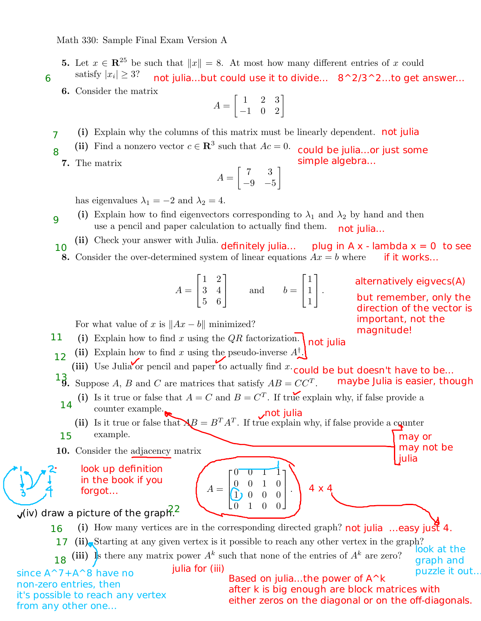- 5. Let  $x \in \mathbb{R}^{25}$  be such that  $||x|| = 8$ . At most how many different entries of x could satisfy  $|x_i| \geq 3$ ?
- 6 not julia...but could use it to divide... 8^2/3^2...to get answer...
	- 6. Consider the matrix

$$
A = \begin{bmatrix} 1 & 2 & 3 \\ -1 & 0 & 2 \end{bmatrix}
$$

- (i) Explain why the columns of this matrix must be linearly dependent. not julia 7
- (ii) Find a nonzero vector  $c \in \mathbb{R}^3$  such that  $Ac = 0$ . 8 could be julia...or just some simple algebra...
	- 7. The matrix

$$
A = \begin{bmatrix} 7 & 3 \\ -9 & -5 \end{bmatrix}
$$

has eigenvalues  $\lambda_1 = -2$  and  $\lambda_2 = 4$ .

- (i) Explain how to find eigenvectors corresponding to  $\lambda_1$  and  $\lambda_2$  by hand and then use a pencil and paper calculation to actually find them. 9 not julia...
- (ii) Check your answer with Julia. definitely julia... **8.** Consider the over-determined system of linear equations  $Ax = b$  where **if it works...** 10 plug in A x - lambda  $x = 0$  to see

$$
A = \begin{bmatrix} 1 & 2 \\ 3 & 4 \\ 5 & 6 \end{bmatrix} \quad \text{and} \quad b = \begin{bmatrix} 1 \\ 1 \\ 1 \end{bmatrix}.
$$

For what value of x is  $||Ax - b||$  minimized?

(i) Explain how to find x using the  $QR$  factorization. not julia 11

- (ii) Explain how to find x using the pseudo-inverse  $A^{\dagger}$ . 12
- (iii) Use Julia or pencil and paper to actually find  $x \cdot$  could be but doesn't have to be...

**13.** Suppose A, B and C are matrices that satisfy  $AB = CC^T$ . maybe Julia is easier, though

(i) Is it true or false that  $A = C$  and  $B = C<sup>T</sup>$ . If true explain why, if false provide a

counter example. 14

(ii) Is it true or false that  $\mathbf{A}B = B^T A^T$ . If true explain why, if false provide a counter example. 15 not julia may or

 $A =$ 

 $\sqrt{ }$ 

<u>V</u> N

10. Consider the adjacency matrix

look up definition in the book if you forgot...

## $\sqrt{(iv)}$  draw a picture of the graph<sup>22</sup>

(i) How many vertices are in the corresponding directed graph? not julia ...easy just 4. 17 (ii) Starting at any given vertex is it possible to reach any other vertex in the graph? 16

0 0 1 1 0 0 1 0  $1) 0 0 0$ 0 1 0 0

1

 $\vert \cdot$ 

4 x 4

(iii) Is there any matrix power  $A^k$  such that none of the entries of  $A^k$  are zero? 18 look at the graph and

 $\frac{1}{2}$  julia for (iii)  $\frac{1}{2}$  is the set of  $\frac{1}{2}$  is the set of  $\frac{1}{2}$  is the puzzle it out.

since A<sup>2</sup>7+A<sup>2</sup>8 have no non-zero entries, then it's possible to reach any vertex from any other one...

Based on julia...the power of A^k after k is big enough are block matrices with either zeros on the diagonal or on the off-diagonals.

alternatively eigvecs(A)

but remember, only the direction of the vector is important, not the magnitude!

may not be

julia